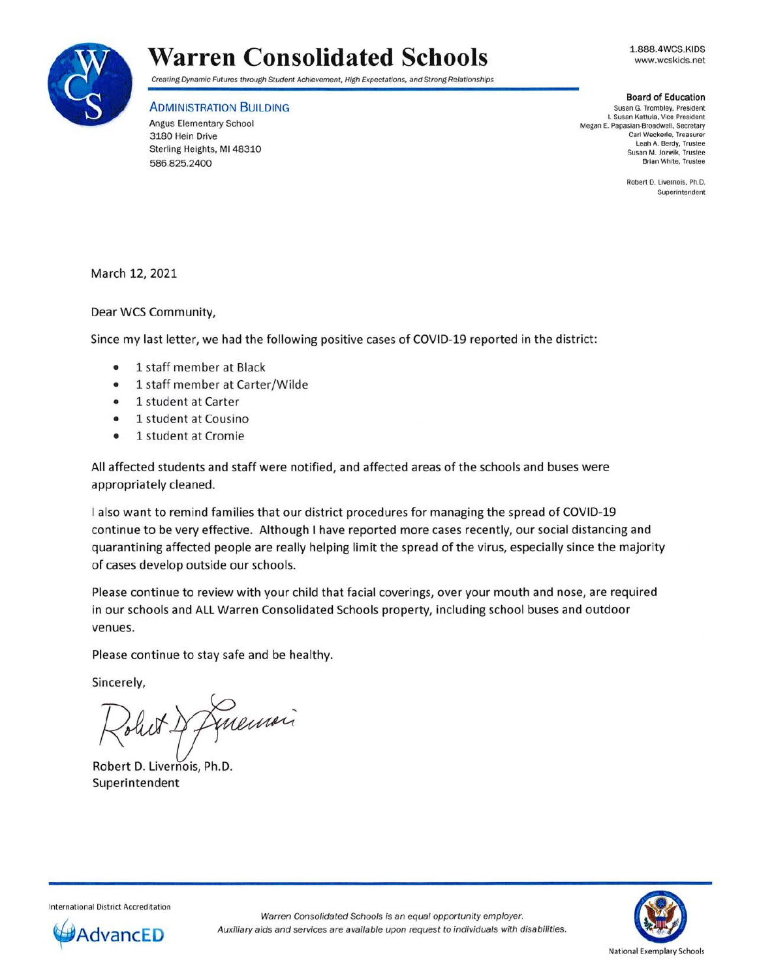

1.888.4WCS.KIDS www.wcskids.net



## Creating Dynamic Futures through Student Achievement, High Expectations, and Strong Relationships

## ADMINISTRATION BUILDING

Angus Elementary School 3180 Hein Drive Sterling Heights, Ml 48310 586.825.2400

**Board of Education**  Susan G. Trombley, President I. Susan Kattula, Vice President Megan E. Papasian-Broadwell. Secretary Carl Weckerte. Treasurer Leah A. Berdy. Trustee Susan M. Jozwik, Trustee Brian White, Trustee

> Robert D. Livernois, Ph.D. Superintendent

March 12, 2021

Dear WCS Community,

Since my last letter, we had the following positive cases of COVID-19 reported in the district:

- 1 staff member at Black
- 1 staff member at Carter/Wilde
- 1 student at Carter
- 1 student at Cousino
- 1 student at Cromie

All affected students and staff were notified, and affected areas of the schools and buses were appropriately cleaned.

I also want to remind families that our district procedures for managing the spread of COVID-19 continue to be very effective. Although I have reported more cases recently, our social distancing and quarantining affected people are really helping limit the spread of the virus, especially since the majority of cases develop outside our schools.

Please continue to review with your child that facial coverings, over your mouth and nose, are required in our schools and ALL Warren Consolidated Schools property, including school buses and outdoor venues.

Please continue to stay safe and be healthy.

Sincerely,

Juensi

Robert D. Livernois, Ph.D. Superintendent



International District Accreditation